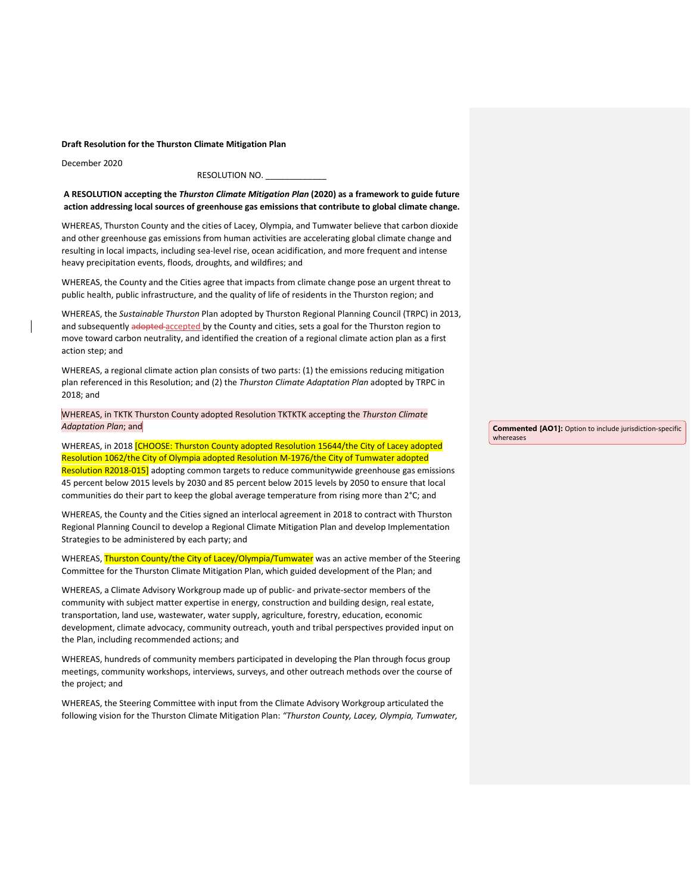**Draft Resolution for the Thurston Climate Mitigation Plan**

December 2020

## RESOLUTION NO.

**A RESOLUTION accepting the** *Thurston Climate Mitigation Plan* **(2020) as a framework to guide future action addressing local sources of greenhouse gas emissions that contribute to global climate change.**

WHEREAS, Thurston County and the cities of Lacey, Olympia, and Tumwater believe that carbon dioxide and other greenhouse gas emissions from human activities are accelerating global climate change and resulting in local impacts, including sea-level rise, ocean acidification, and more frequent and intense heavy precipitation events, floods, droughts, and wildfires; and

WHEREAS, the County and the Cities agree that impacts from climate change pose an urgent threat to public health, public infrastructure, and the quality of life of residents in the Thurston region; and

WHEREAS, the *Sustainable Thurston* Plan adopted by Thurston Regional Planning Council (TRPC) in 2013, and subsequently adopted accepted by the County and cities, sets a goal for the Thurston region to move toward carbon neutrality, and identified the creation of a regional climate action plan as a first action step; and

WHEREAS, a regional climate action plan consists of two parts: (1) the emissions reducing mitigation plan referenced in this Resolution; and (2) the *Thurston Climate Adaptation Plan* adopted by TRPC in 2018; and

WHEREAS, in TKTK Thurston County adopted Resolution TKTKTK accepting the *Thurston Climate Adaptation Plan*; and

WHEREAS, in 2018 *[CHOOSE: Thurston County adopted Resolution 15644/the City of Lacey adopted* Resolution 1062/the City of Olympia adopted Resolution M-1976/the City of Tumwater adopted Resolution R2018-015] adopting common targets to reduce communitywide greenhouse gas emissions 45 percent below 2015 levels by 2030 and 85 percent below 2015 levels by 2050 to ensure that local communities do their part to keep the global average temperature from rising more than 2°C; and

WHEREAS, the County and the Cities signed an interlocal agreement in 2018 to contract with Thurston Regional Planning Council to develop a Regional Climate Mitigation Plan and develop Implementation Strategies to be administered by each party; and

WHEREAS, Thurston County/the City of Lacey/Olympia/Tumwater was an active member of the Steering Committee for the Thurston Climate Mitigation Plan, which guided development of the Plan; and

WHEREAS, a Climate Advisory Workgroup made up of public- and private-sector members of the community with subject matter expertise in energy, construction and building design, real estate, transportation, land use, wastewater, water supply, agriculture, forestry, education, economic development, climate advocacy, community outreach, youth and tribal perspectives provided input on the Plan, including recommended actions; and

WHEREAS, hundreds of community members participated in developing the Plan through focus group meetings, community workshops, interviews, surveys, and other outreach methods over the course of the project; and

WHEREAS, the Steering Committee with input from the Climate Advisory Workgroup articulated the following vision for the Thurston Climate Mitigation Plan: *"Thurston County, Lacey, Olympia, Tumwater,*  **Commented [AO1]:** Option to include jurisdiction-specific whereases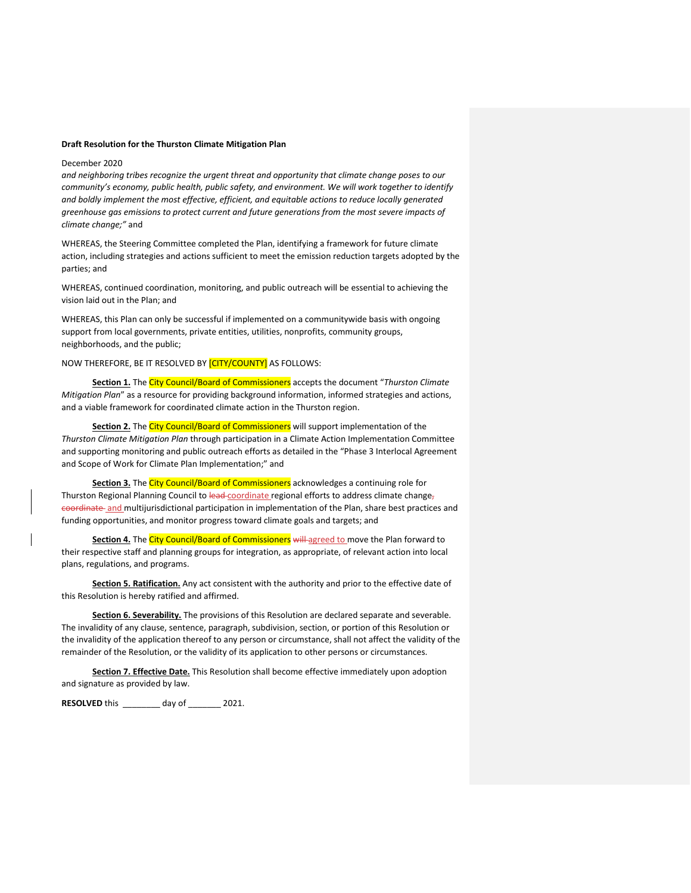## **Draft Resolution for the Thurston Climate Mitigation Plan**

## December 2020

*and neighboring tribes recognize the urgent threat and opportunity that climate change poses to our community's economy, public health, public safety, and environment. We will work together to identify and boldly implement the most effective, efficient, and equitable actions to reduce locally generated greenhouse gas emissions to protect current and future generations from the most severe impacts of climate change;"* and

WHEREAS, the Steering Committee completed the Plan, identifying a framework for future climate action, including strategies and actions sufficient to meet the emission reduction targets adopted by the parties; and

WHEREAS, continued coordination, monitoring, and public outreach will be essential to achieving the vision laid out in the Plan; and

WHEREAS, this Plan can only be successful if implemented on a communitywide basis with ongoing support from local governments, private entities, utilities, nonprofits, community groups, neighborhoods, and the public;

NOW THEREFORE, BE IT RESOLVED BY **[CITY/COUNTY]** AS FOLLOWS:

**Section 1.** The City Council/Board of Commissioners accepts the document "*Thurston Climate Mitigation Plan*" as a resource for providing background information, informed strategies and actions, and a viable framework for coordinated climate action in the Thurston region.

**Section 2.** The City Council/Board of Commissioners will support implementation of the *Thurston Climate Mitigation Plan* through participation in a Climate Action Implementation Committee and supporting monitoring and public outreach efforts as detailed in the "Phase 3 Interlocal Agreement and Scope of Work for Climate Plan Implementation;" and

Section 3. The City Council/Board of Commissioners acknowledges a continuing role for Thurston Regional Planning Council to lead-coordinate regional efforts to address climate changecoordinate and multijurisdictional participation in implementation of the Plan, share best practices and funding opportunities, and monitor progress toward climate goals and targets; and

Section 4. The City Council/Board of Commissioners will agreed to move the Plan forward to their respective staff and planning groups for integration, as appropriate, of relevant action into local plans, regulations, and programs.

**Section 5. Ratification.** Any act consistent with the authority and prior to the effective date of this Resolution is hereby ratified and affirmed.

**Section 6. Severability.** The provisions of this Resolution are declared separate and severable. The invalidity of any clause, sentence, paragraph, subdivision, section, or portion of this Resolution or the invalidity of the application thereof to any person or circumstance, shall not affect the validity of the remainder of the Resolution, or the validity of its application to other persons or circumstances.

**Section 7. Effective Date.** This Resolution shall become effective immediately upon adoption and signature as provided by law.

**RESOLVED** this \_\_\_\_\_\_\_\_ day of \_\_\_\_\_\_\_ 2021.